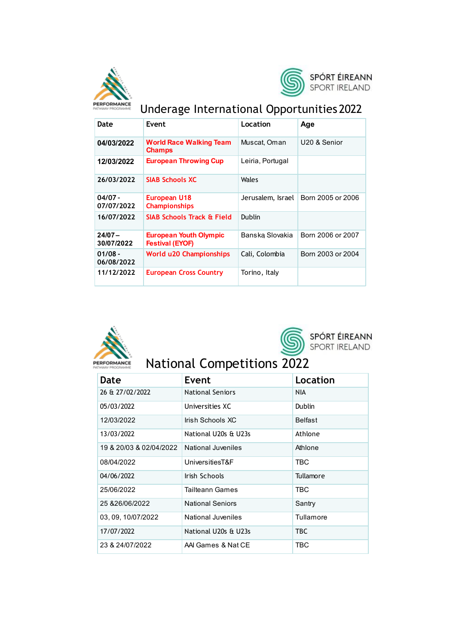



# Underage International Opportunities 2022

| Date                    | <b>Fvent</b>                                            | Location          | Age               |
|-------------------------|---------------------------------------------------------|-------------------|-------------------|
| 04/03/2022              | <b>World Race Walking Team</b><br><b>Champs</b>         | Muscat, Oman      | U20 & Senior      |
| 12/03/2022              | <b>European Throwing Cup</b>                            | Leiria, Portugal  |                   |
| 26/03/2022              | <b>SIAB Schools XC</b>                                  | Wales             |                   |
| $04/07 -$<br>07/07/2022 | European U18<br><b>Championships</b>                    | Jerusalem, Israel | Born 2005 or 2006 |
| 16/07/2022              | <b>SIAB Schools Track &amp; Field</b>                   | Dublin            |                   |
| $24/07 -$<br>30/07/2022 | <b>European Youth Olympic</b><br><b>Festival (EYOF)</b> | Banska Slovakia   | Born 2006 or 2007 |
| $01/08 -$<br>06/08/2022 | <b>World u20 Championships</b>                          | Cali, Colombia    | Born 2003 or 2004 |
| 11/12/2022              | <b>European Cross Country</b>                           | Torino, Italy     |                   |





SPÓRT ÉIREANN<br>SPORT IRELAND

# **National Competitions 2022**

| Date                    | Event                   | Location       |
|-------------------------|-------------------------|----------------|
| 26 & 27/02/2022         | <b>National Seniors</b> | NIA.           |
| 05/03/2022              | Universities XC         | <b>Dublin</b>  |
| 12/03/2022              | Irish Schools XC        | <b>Belfast</b> |
| 13/03/2022              | National U20s & U23s    | Athlone        |
| 19 & 20/03 & 02/04/2022 | National Juveniles      | Athlone        |
| 08/04/2022              | UniversitiesT&F         | TBC            |
| 04/06/2022              | Irish Schools           | Tullamore      |
| 25/06/2022              | Tailteann Games         | TBC            |
| 25 & 26/06/2022         | <b>National Seniors</b> | Santry         |
| 03, 09, 10/07/2022      | National Juveniles      | Tullamore      |
| 17/07/2022              | National U20s & U23s    | TBC.           |
| 23 & 24/07/2022         | AAI Games & Nat CE      | TBC            |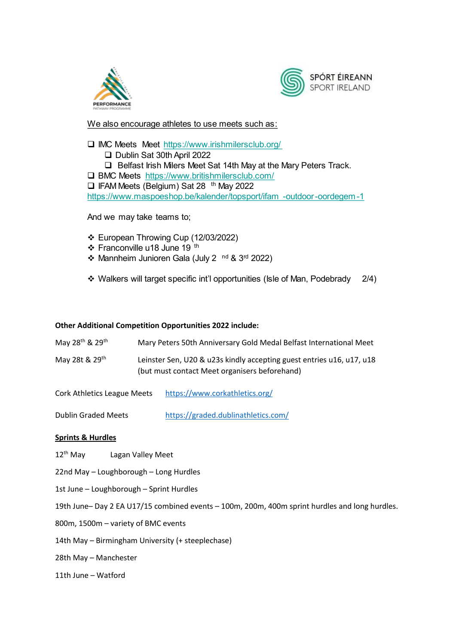



We also encourage athletes to use meets such as:

□ IMC Meets Meet https://www.irishmilersclub.org/ Dublin Sat 30th April 2022  $\Box$  Belfast Irish Milers Meet Sat 14th May at the Mary Peters Track. □ BMC Meets https://www.britishmilersclub.com/ □ IFAM Meets (Belgium) Sat 28 <sup>th</sup> May 2022 https://www.maspoeshop.be/kalender/topsport/ifam -outdoor-oordegem-1

And we may take teams to;

- ❖ European Throwing Cup (12/03/2022)
- ❖ Franconville u18 June 19 <sup>th</sup>
- Mannheim Junioren Gala (July 2 nd & 3rd 2022)
- ❖ Walkers will target specific int'l opportunities (Isle of Man, Podebrady  $2/4)$

#### **Other Additional Competition Opportunities 2022 include:**

| May 28 <sup>th</sup> & 29 <sup>th</sup> | Mary Peters 50th Anniversary Gold Medal Belfast International Meet                                                     |
|-----------------------------------------|------------------------------------------------------------------------------------------------------------------------|
| May 28t & 29th                          | Leinster Sen, U20 & u23s kindly accepting guest entries u16, u17, u18<br>(but must contact Meet organisers beforehand) |

Cork Athletics League Meets <https://www.corkathletics.org/>

Dublin Graded Meets <https://graded.dublinathletics.com/>

### **Sprints & Hurdles**

- 12<sup>th</sup> May Lagan Valley Meet
- 22nd May Loughborough Long Hurdles
- 1st June Loughborough Sprint Hurdles
- 19th June– Day 2 EA U17/15 combined events 100m, 200m, 400m sprint hurdles and long hurdles.
- 800m, 1500m variety of BMC events
- 14th May Birmingham University (+ steeplechase)
- 28th May Manchester
- 11th June Watford